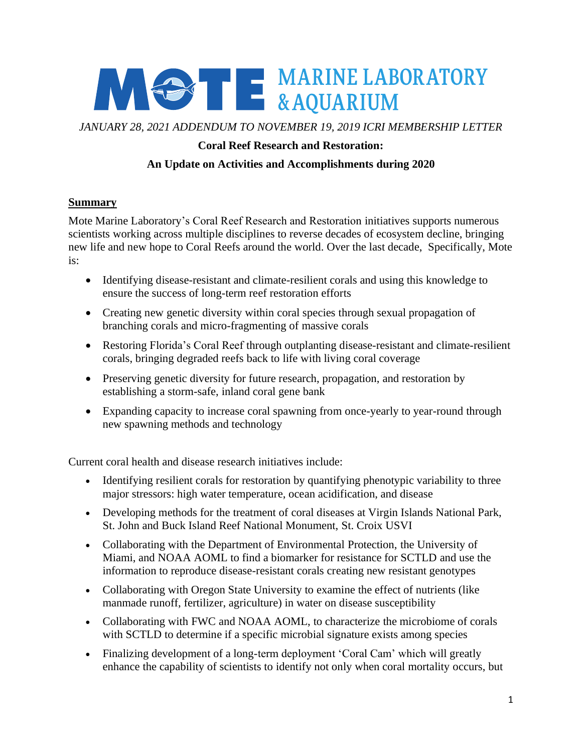

*JANUARY 28, 2021 ADDENDUM TO NOVEMBER 19, 2019 ICRI MEMBERSHIP LETTER*

## **Coral Reef Research and Restoration:**

## **An Update on Activities and Accomplishments during 2020**

### **Summary**

Mote Marine Laboratory's Coral Reef Research and Restoration initiatives supports numerous scientists working across multiple disciplines to reverse decades of ecosystem decline, bringing new life and new hope to Coral Reefs around the world. Over the last decade, Specifically, Mote is:

- Identifying disease-resistant and climate-resilient corals and using this knowledge to ensure the success of long-term reef restoration efforts
- Creating new genetic diversity within coral species through sexual propagation of branching corals and micro-fragmenting of massive corals
- Restoring Florida's Coral Reef through outplanting disease-resistant and climate-resilient corals, bringing degraded reefs back to life with living coral coverage
- Preserving genetic diversity for future research, propagation, and restoration by establishing a storm-safe, inland coral gene bank
- Expanding capacity to increase coral spawning from once-yearly to year-round through new spawning methods and technology

Current coral health and disease research initiatives include:

- Identifying resilient corals for restoration by quantifying phenotypic variability to three major stressors: high water temperature, ocean acidification, and disease
- Developing methods for the treatment of coral diseases at Virgin Islands National Park, St. John and Buck Island Reef National Monument, St. Croix USVI
- Collaborating with the Department of Environmental Protection, the University of Miami, and NOAA AOML to find a biomarker for resistance for SCTLD and use the information to reproduce disease-resistant corals creating new resistant genotypes
- Collaborating with Oregon State University to examine the effect of nutrients (like manmade runoff, fertilizer, agriculture) in water on disease susceptibility
- Collaborating with FWC and NOAA AOML, to characterize the microbiome of corals with SCTLD to determine if a specific microbial signature exists among species
- Finalizing development of a long-term deployment 'Coral Cam' which will greatly enhance the capability of scientists to identify not only when coral mortality occurs, but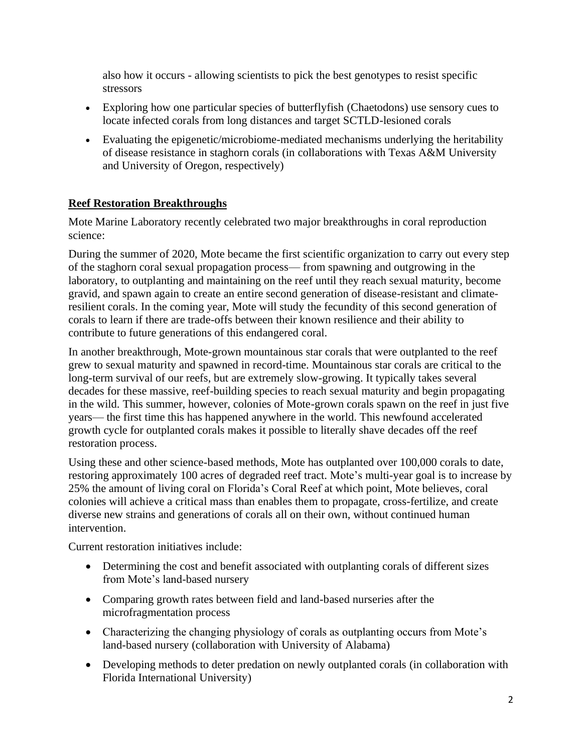also how it occurs - allowing scientists to pick the best genotypes to resist specific stressors

- Exploring how one particular species of butterflyfish (Chaetodons) use sensory cues to locate infected corals from long distances and target SCTLD-lesioned corals
- Evaluating the epigenetic/microbiome-mediated mechanisms underlying the heritability of disease resistance in staghorn corals (in collaborations with Texas A&M University and University of Oregon, respectively)

## **Reef Restoration Breakthroughs**

Mote Marine Laboratory recently celebrated two major breakthroughs in coral reproduction science:

During the summer of 2020, Mote became the first scientific organization to carry out every step of the staghorn coral sexual propagation process— from spawning and outgrowing in the laboratory, to outplanting and maintaining on the reef until they reach sexual maturity, become gravid, and spawn again to create an entire second generation of disease-resistant and climateresilient corals. In the coming year, Mote will study the fecundity of this second generation of corals to learn if there are trade-offs between their known resilience and their ability to contribute to future generations of this endangered coral.

In another breakthrough, Mote-grown mountainous star corals that were outplanted to the reef grew to sexual maturity and spawned in record-time. Mountainous star corals are critical to the long-term survival of our reefs, but are extremely slow-growing. It typically takes several decades for these massive, reef-building species to reach sexual maturity and begin propagating in the wild. This summer, however, colonies of Mote-grown corals spawn on the reef in just five years— the first time this has happened anywhere in the world. This newfound accelerated growth cycle for outplanted corals makes it possible to literally shave decades off the reef restoration process.

Using these and other science-based methods, Mote has outplanted over 100,000 corals to date, restoring approximately 100 acres of degraded reef tract. Mote's multi-year goal is to increase by 25% the amount of living coral on Florida's Coral Reef at which point, Mote believes, coral colonies will achieve a critical mass than enables them to propagate, cross-fertilize, and create diverse new strains and generations of corals all on their own, without continued human intervention.

Current restoration initiatives include:

- Determining the cost and benefit associated with outplanting corals of different sizes from Mote's land-based nursery
- Comparing growth rates between field and land-based nurseries after the microfragmentation process
- Characterizing the changing physiology of corals as outplanting occurs from Mote's land-based nursery (collaboration with University of Alabama)
- Developing methods to deter predation on newly outplanted corals (in collaboration with Florida International University)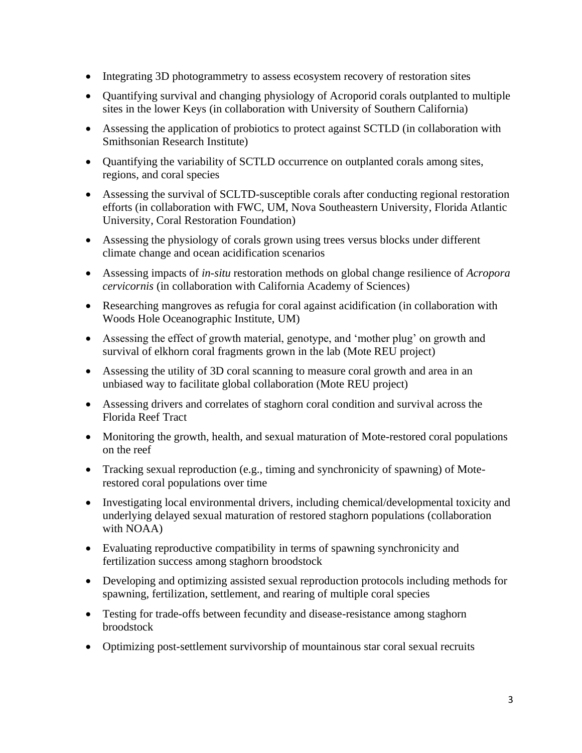- Integrating 3D photogrammetry to assess ecosystem recovery of restoration sites
- Quantifying survival and changing physiology of Acroporid corals outplanted to multiple sites in the lower Keys (in collaboration with University of Southern California)
- Assessing the application of probiotics to protect against SCTLD (in collaboration with Smithsonian Research Institute)
- Quantifying the variability of SCTLD occurrence on outplanted corals among sites, regions, and coral species
- Assessing the survival of SCLTD-susceptible corals after conducting regional restoration efforts (in collaboration with FWC, UM, Nova Southeastern University, Florida Atlantic University, Coral Restoration Foundation)
- Assessing the physiology of corals grown using trees versus blocks under different climate change and ocean acidification scenarios
- Assessing impacts of *in-situ* restoration methods on global change resilience of *Acropora cervicornis* (in collaboration with California Academy of Sciences)
- Researching mangroves as refugia for coral against acidification (in collaboration with Woods Hole Oceanographic Institute, UM)
- Assessing the effect of growth material, genotype, and 'mother plug' on growth and survival of elkhorn coral fragments grown in the lab (Mote REU project)
- Assessing the utility of 3D coral scanning to measure coral growth and area in an unbiased way to facilitate global collaboration (Mote REU project)
- Assessing drivers and correlates of staghorn coral condition and survival across the Florida Reef Tract
- Monitoring the growth, health, and sexual maturation of Mote-restored coral populations on the reef
- Tracking sexual reproduction (e.g., timing and synchronicity of spawning) of Moterestored coral populations over time
- Investigating local environmental drivers, including chemical/developmental toxicity and underlying delayed sexual maturation of restored staghorn populations (collaboration with NOAA)
- Evaluating reproductive compatibility in terms of spawning synchronicity and fertilization success among staghorn broodstock
- Developing and optimizing assisted sexual reproduction protocols including methods for spawning, fertilization, settlement, and rearing of multiple coral species
- Testing for trade-offs between fecundity and disease-resistance among staghorn broodstock
- Optimizing post-settlement survivorship of mountainous star coral sexual recruits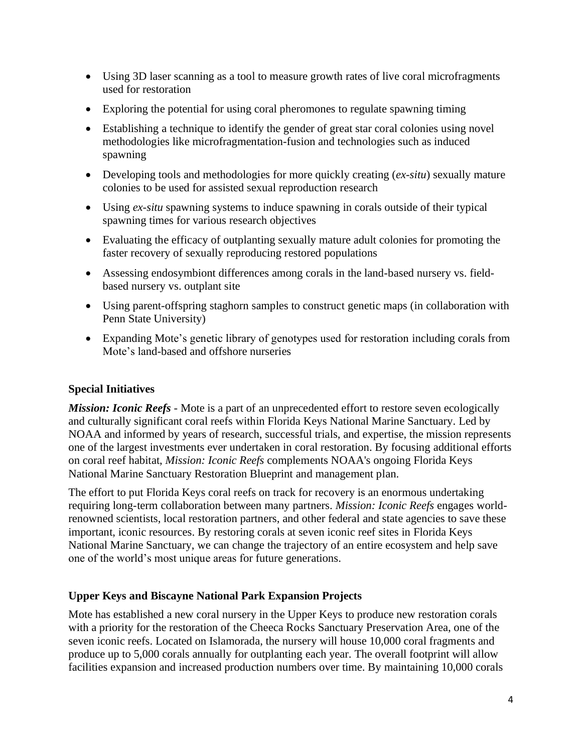- Using 3D laser scanning as a tool to measure growth rates of live coral microfragments used for restoration
- Exploring the potential for using coral pheromones to regulate spawning timing
- Establishing a technique to identify the gender of great star coral colonies using novel methodologies like microfragmentation-fusion and technologies such as induced spawning
- Developing tools and methodologies for more quickly creating (*ex-situ*) sexually mature colonies to be used for assisted sexual reproduction research
- Using *ex-situ* spawning systems to induce spawning in corals outside of their typical spawning times for various research objectives
- Evaluating the efficacy of outplanting sexually mature adult colonies for promoting the faster recovery of sexually reproducing restored populations
- Assessing endosymbiont differences among corals in the land-based nursery vs. fieldbased nursery vs. outplant site
- Using parent-offspring staghorn samples to construct genetic maps (in collaboration with Penn State University)
- Expanding Mote's genetic library of genotypes used for restoration including corals from Mote's land-based and offshore nurseries

# **Special Initiatives**

*Mission: Iconic Reefs* - Mote is a part of an unprecedented effort to restore seven ecologically and culturally significant coral reefs within Florida Keys National Marine Sanctuary. Led by NOAA and informed by years of research, successful trials, and expertise, the mission represents one of the largest investments ever undertaken in coral restoration. By focusing additional efforts on coral reef habitat, *Mission: Iconic Reefs* complements NOAA's ongoing Florida Keys National Marine Sanctuary Restoration Blueprint and management plan.

The effort to put Florida Keys coral reefs on track for recovery is an enormous undertaking requiring long-term collaboration between many partners. *Mission: Iconic Reefs* engages worldrenowned scientists, local restoration partners, and other federal and state agencies to save these important, iconic resources. By restoring corals at seven iconic reef sites in Florida Keys National Marine Sanctuary, we can change the trajectory of an entire ecosystem and help save one of the world's most unique areas for future generations.

# **Upper Keys and Biscayne National Park Expansion Projects**

Mote has established a new coral nursery in the Upper Keys to produce new restoration corals with a priority for the restoration of the Cheeca Rocks Sanctuary Preservation Area, one of the seven iconic reefs. Located on Islamorada, the nursery will house 10,000 coral fragments and produce up to 5,000 corals annually for outplanting each year. The overall footprint will allow facilities expansion and increased production numbers over time. By maintaining 10,000 corals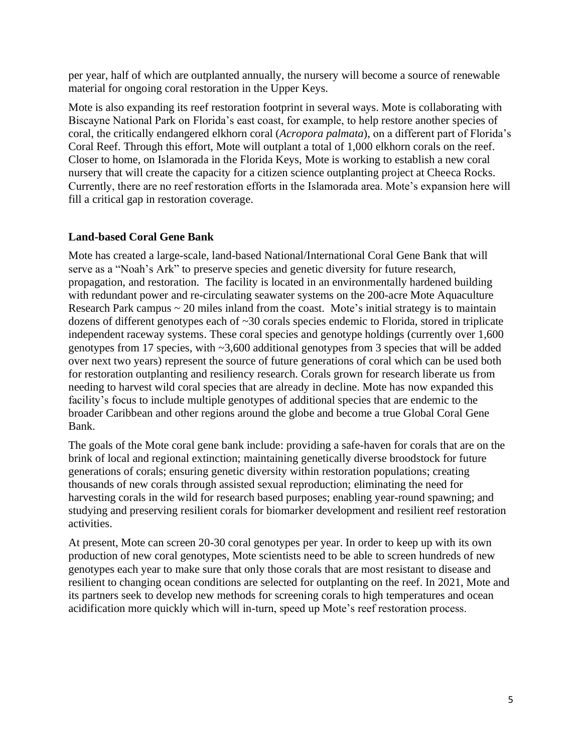per year, half of which are outplanted annually, the nursery will become a source of renewable material for ongoing coral restoration in the Upper Keys.

Mote is also expanding its reef restoration footprint in several ways. Mote is collaborating with Biscayne National Park on Florida's east coast, for example, to help restore another species of coral, the critically endangered elkhorn coral (*Acropora palmata*), on a different part of Florida's Coral Reef. Through this effort, Mote will outplant a total of 1,000 elkhorn corals on the reef. Closer to home, on Islamorada in the Florida Keys, Mote is working to establish a new coral nursery that will create the capacity for a citizen science outplanting project at Cheeca Rocks. Currently, there are no reef restoration efforts in the Islamorada area. Mote's expansion here will fill a critical gap in restoration coverage.

### **Land-based Coral Gene Bank**

Mote has created a large-scale, land-based National/International Coral Gene Bank that will serve as a "Noah's Ark" to preserve species and genetic diversity for future research, propagation, and restoration. The facility is located in an environmentally hardened building with redundant power and re-circulating seawater systems on the 200-acre Mote Aquaculture Research Park campus  $\sim$  20 miles inland from the coast. Mote's initial strategy is to maintain dozens of different genotypes each of ~30 corals species endemic to Florida, stored in triplicate independent raceway systems. These coral species and genotype holdings (currently over 1,600 genotypes from 17 species, with ~3,600 additional genotypes from 3 species that will be added over next two years) represent the source of future generations of coral which can be used both for restoration outplanting and resiliency research. Corals grown for research liberate us from needing to harvest wild coral species that are already in decline. Mote has now expanded this facility's focus to include multiple genotypes of additional species that are endemic to the broader Caribbean and other regions around the globe and become a true Global Coral Gene Bank.

The goals of the Mote coral gene bank include: providing a safe-haven for corals that are on the brink of local and regional extinction; maintaining genetically diverse broodstock for future generations of corals; ensuring genetic diversity within restoration populations; creating thousands of new corals through assisted sexual reproduction; eliminating the need for harvesting corals in the wild for research based purposes; enabling year-round spawning; and studying and preserving resilient corals for biomarker development and resilient reef restoration activities.

At present, Mote can screen 20-30 coral genotypes per year. In order to keep up with its own production of new coral genotypes, Mote scientists need to be able to screen hundreds of new genotypes each year to make sure that only those corals that are most resistant to disease and resilient to changing ocean conditions are selected for outplanting on the reef. In 2021, Mote and its partners seek to develop new methods for screening corals to high temperatures and ocean acidification more quickly which will in-turn, speed up Mote's reef restoration process.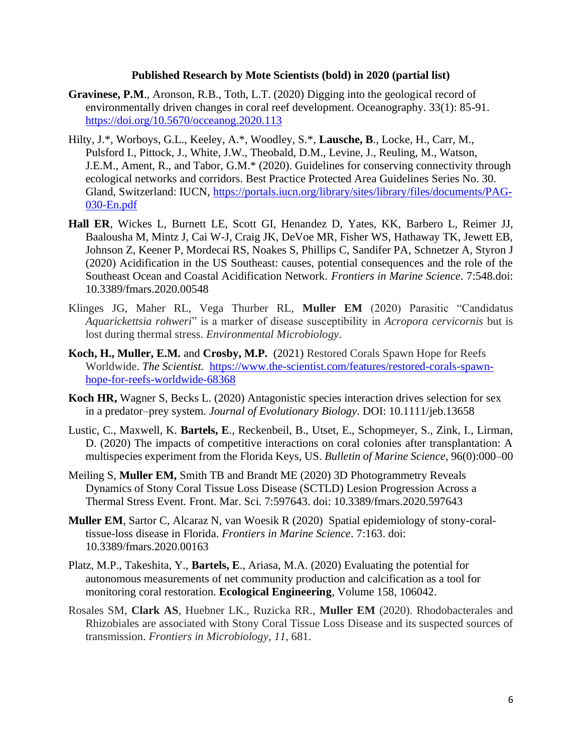#### **Published Research by Mote Scientists (bold) in 2020 (partial list)**

- **Gravinese, P.M**., Aronson, R.B., Toth, L.T. (2020) Digging into the geological record of environmentally driven changes in coral reef development. Oceanography. 33(1): 85-91. <https://doi.org/10.5670/occeanog.2020.113>
- Hilty, J.\*, Worboys, G.L., Keeley, A.\*, Woodley, S.\*, **Lausche, B**., Locke, H., Carr, M., Pulsford I., Pittock, J., White, J.W., Theobald, D.M., Levine, J., Reuling, M., Watson, J.E.M., Ament, R., and Tabor, G.M.\* (2020). Guidelines for conserving connectivity through ecological networks and corridors. Best Practice Protected Area Guidelines Series No. 30. Gland, Switzerland: IUCN, [https://portals.iucn.org/library/sites/library/files/documents/PAG-](https://portals.iucn.org/library/sites/library/files/documents/PAG-030-En.pdf)[030-En.pdf](https://portals.iucn.org/library/sites/library/files/documents/PAG-030-En.pdf)
- **Hall ER**, Wickes L, Burnett LE, Scott GI, Henandez D, Yates, KK, Barbero L, Reimer JJ, Baalousha M, Mintz J, Cai W-J, Craig JK, DeVoe MR, Fisher WS, Hathaway TK, Jewett EB, Johnson Z, Keener P, Mordecai RS, Noakes S, Phillips C, Sandifer PA, Schnetzer A, Styron J (2020) Acidification in the US Southeast: causes, potential consequences and the role of the Southeast Ocean and Coastal Acidification Network. *Frontiers in Marine Science*. 7:548.doi: 10.3389/fmars.2020.00548
- Klinges JG, Maher RL, Vega Thurber RL, **Muller EM** (2020) Parasitic "Candidatus *Aquarickettsia rohweri*" is a marker of disease susceptibility in *Acropora cervicornis* but is lost during thermal stress. *Environmental Microbiology*.
- **Koch, H., Muller, E.M.** and **Crosby, M.P.** (2021) Restored Corals Spawn Hope for Reefs Worldwide. *The Scientist.* [https://www.the-scientist.com/features/restored-corals-spawn](https://www.the-scientist.com/features/restored-corals-spawn-hope-for-reefs-worldwide-68368)[hope-for-reefs-worldwide-68368](https://www.the-scientist.com/features/restored-corals-spawn-hope-for-reefs-worldwide-68368)
- **Koch HR,** Wagner S, Becks L. (2020) Antagonistic species interaction drives selection for sex in a predator–prey system. *Journal of Evolutionary Biology*. DOI: 10.1111/jeb.13658
- Lustic, C., Maxwell, K. **Bartels, E**., Reckenbeil, B., Utset, E., Schopmeyer, S., Zink, I., Lirman, D. (2020) The impacts of competitive interactions on coral colonies after transplantation: A multispecies experiment from the Florida Keys, US. *Bulletin of Marine Science*, 96(0):000–00
- Meiling S, **Muller EM,** Smith TB and Brandt ME (2020) 3D Photogrammetry Reveals Dynamics of Stony Coral Tissue Loss Disease (SCTLD) Lesion Progression Across a Thermal Stress Event. Front. Mar. Sci. 7:597643. doi: 10.3389/fmars.2020.597643
- **Muller EM**, Sartor C, Alcaraz N, van Woesik R (2020) Spatial epidemiology of stony-coraltissue-loss disease in Florida. *Frontiers in Marine Science*. 7:163. doi: 10.3389/fmars.2020.00163
- Platz, M.P., Takeshita, Y., **Bartels, E**., Ariasa, M.A. (2020) Evaluating the potential for autonomous measurements of net community production and calcification as a tool for monitoring coral restoration. **Ecological Engineering**, Volume 158, 106042.
- Rosales SM, **Clark AS**, Huebner LK., Ruzicka RR., **Muller EM** (2020). Rhodobacterales and Rhizobiales are associated with Stony Coral Tissue Loss Disease and its suspected sources of transmission. *Frontiers in Microbiology*, *11*, 681.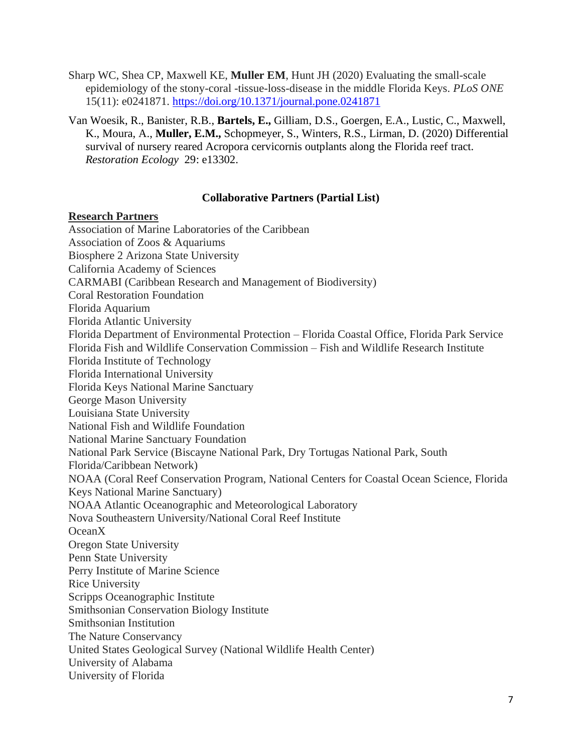- Sharp WC, Shea CP, Maxwell KE, **Muller EM**, Hunt JH (2020) Evaluating the small-scale epidemiology of the stony-coral -tissue-loss-disease in the middle Florida Keys. *PLoS ONE*  15(11): e0241871.<https://doi.org/10.1371/journal.pone.0241871>
- Van Woesik, R., Banister, R.B., **Bartels, E.,** Gilliam, D.S., Goergen, E.A., Lustic, C., Maxwell, K., Moura, A., **Muller, E.M.,** Schopmeyer, S., Winters, R.S., Lirman, D. (2020) Differential survival of nursery reared Acropora cervicornis outplants along the Florida reef tract. *Restoration Ecology* 29: e13302.

#### **Collaborative Partners (Partial List)**

#### **Research Partners**

Association of Marine Laboratories of the Caribbean Association of Zoos & Aquariums Biosphere 2 Arizona State University California Academy of Sciences CARMABI (Caribbean Research and Management of Biodiversity) Coral Restoration Foundation Florida Aquarium Florida Atlantic University Florida Department of Environmental Protection – Florida Coastal Office, Florida Park Service Florida Fish and Wildlife Conservation Commission – Fish and Wildlife Research Institute Florida Institute of Technology Florida International University Florida Keys National Marine Sanctuary George Mason University Louisiana State University National Fish and Wildlife Foundation National Marine Sanctuary Foundation National Park Service (Biscayne National Park, Dry Tortugas National Park, South Florida/Caribbean Network) NOAA (Coral Reef Conservation Program, National Centers for Coastal Ocean Science, Florida Keys National Marine Sanctuary) NOAA Atlantic Oceanographic and Meteorological Laboratory Nova Southeastern University/National Coral Reef Institute OceanX Oregon State University Penn State University Perry Institute of Marine Science Rice University Scripps Oceanographic Institute Smithsonian Conservation Biology Institute Smithsonian Institution The Nature Conservancy United States Geological Survey (National Wildlife Health Center) University of Alabama University of Florida